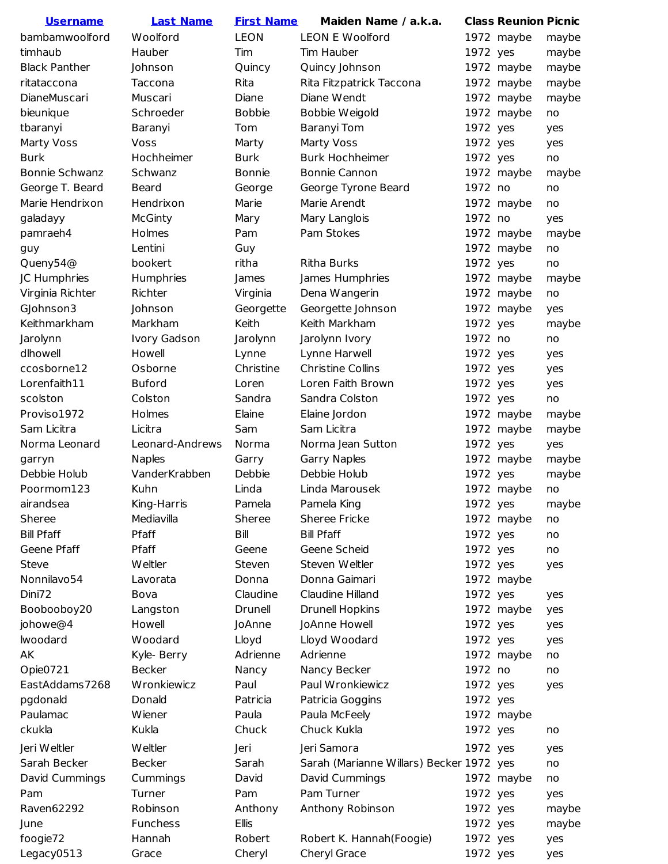| <u>Username</u>      | <b>Last Name</b> | <b>First Name</b> | Maiden Name / a.k.a.                     |          | <b>Class Reunion Picnic</b> |       |
|----------------------|------------------|-------------------|------------------------------------------|----------|-----------------------------|-------|
| bambamwoolford       | Woolford         | <b>LEON</b>       | <b>LEON E Woolford</b>                   |          | 1972 maybe                  | maybe |
| timhaub              | Hauber           | Tim               | Tim Hauber                               | 1972 yes |                             | maybe |
| <b>Black Panther</b> | Johnson          | Quincy            | Quincy Johnson                           |          | 1972 maybe                  | maybe |
| ritataccona          | Taccona          | Rita              | Rita Fitzpatrick Taccona                 |          | 1972 maybe                  | maybe |
| <b>DianeMuscari</b>  | Muscari          | Diane             | Diane Wendt                              |          | 1972 maybe                  | maybe |
| bieunique            | Schroeder        | <b>Bobbie</b>     | Bobbie Weigold                           |          | 1972 maybe                  | no    |
| tbaranyi             | Baranyi          | Tom               | <b>Baranyi Tom</b>                       | 1972 yes |                             | yes   |
| <b>Marty Voss</b>    | Voss             | Marty             | <b>Marty Voss</b>                        | 1972 yes |                             | yes   |
| <b>Burk</b>          | Hochheimer       | <b>Burk</b>       | <b>Burk Hochheimer</b>                   | 1972 yes |                             | no    |
| Bonnie Schwanz       | Schwanz          | <b>Bonnie</b>     | Bonnie Cannon                            |          | 1972 maybe                  | maybe |
| George T. Beard      | <b>Beard</b>     | George            | George Tyrone Beard                      | 1972 no  |                             | no    |
| Marie Hendrixon      | Hendrixon        | Marie             | Marie Arendt                             |          | 1972 maybe                  | no    |
| galadayy             | <b>McGinty</b>   | Mary              | Mary Langlois                            | 1972 no  |                             | yes   |
| pamraeh4             | Holmes           | Pam               | Pam Stokes                               |          | 1972 maybe                  | maybe |
| guy                  | Lentini          | Guy               |                                          |          | 1972 maybe                  | no    |
| Queny54@             | bookert          | ritha             | <b>Ritha Burks</b>                       | 1972 yes |                             | no    |
| JC Humphries         | Humphries        | James             | James Humphries                          |          | 1972 maybe                  | maybe |
| Virginia Richter     | Richter          | Virginia          | Dena Wangerin                            |          | 1972 maybe                  | no    |
| GJohnson3            | Johnson          | Georgette         | Georgette Johnson                        |          | 1972 maybe                  | yes   |
| Keithmarkham         | Markham          | Keith             | Keith Markham                            | 1972 yes |                             | maybe |
| Jarolynn             | Ivory Gadson     | Jarolynn          | Jarolynn Ivory                           | 1972 no  |                             | no    |
| dlhowell             | Howell           | Lynne             | Lynne Harwell                            | 1972 yes |                             | yes   |
| ccosborne12          | Osborne          | Christine         | <b>Christine Collins</b>                 | 1972 yes |                             | yes   |
| Lorenfaith11         | <b>Buford</b>    | Loren             | Loren Faith Brown                        | 1972 yes |                             | yes   |
| scolston             | Colston          | Sandra            | Sandra Colston                           | 1972 yes |                             | no    |
| Proviso1972          | Holmes           | Elaine            | Elaine Jordon                            |          | 1972 maybe                  | maybe |
| Sam Licitra          | Licitra          | Sam               | Sam Licitra                              |          | 1972 maybe                  | maybe |
| Norma Leonard        | Leonard-Andrews  | Norma             | Norma Jean Sutton                        | 1972 yes |                             | yes   |
| garryn               | <b>Naples</b>    | Garry             | Garry Naples                             |          | 1972 maybe                  | maybe |
| Debbie Holub         | VanderKrabben    | Debbie            | Debbie Holub                             | 1972 yes |                             | maybe |
| Poormom123           | Kuhn             | Linda             | Linda Marousek                           |          | 1972 maybe                  | no    |
| airandsea            | King-Harris      | Pamela            | Pamela King                              | 1972 yes |                             | maybe |
| Sheree               | Mediavilla       | Sheree            | <b>Sheree Fricke</b>                     |          | 1972 maybe                  | no    |
| <b>Bill Pfaff</b>    | Pfaff            | Bill              | <b>Bill Pfaff</b>                        | 1972 yes |                             | no    |
| Geene Pfaff          | Pfaff            | Geene             | Geene Scheid                             | 1972 yes |                             | no    |
| Steve                | <b>Weltler</b>   | Steven            | Steven Weltler                           | 1972 yes |                             | yes   |
| Nonnilavo54          | Lavorata         | Donna             | Donna Gaimari                            |          | 1972 maybe                  |       |
| Dini72               | Bova             | Claudine          | Claudine Hilland                         | 1972 yes |                             | yes   |
| Boobooboy20          | Langston         | Drunell           | <b>Drunell Hopkins</b>                   |          | 1972 maybe                  | yes   |
| johowe@4             | Howell           | JoAnne            | JoAnne Howell                            | 1972 yes |                             | yes   |
| lwoodard             | Woodard          | Lloyd             | Lloyd Woodard                            | 1972 yes |                             | yes   |
| AK                   | Kyle- Berry      | Adrienne          | Adrienne                                 |          | 1972 maybe                  | no    |
| Opie0721             | <b>Becker</b>    | Nancy             | Nancy Becker                             | 1972 no  |                             | no    |
| EastAddams7268       | Wronkiewicz      | Paul              | Paul Wronkiewicz                         | 1972 yes |                             | yes   |
| pgdonald             | Donald           | Patricia          | Patricia Goggins                         | 1972 yes |                             |       |
| Paulamac             | Wiener           | Paula             | Paula McFeely                            |          | 1972 maybe                  |       |
| ckukla               | Kukla            | Chuck             | Chuck Kukla                              | 1972 yes |                             | no    |
|                      |                  |                   |                                          |          |                             |       |
| Jeri Weltler         | <b>Weltler</b>   | Jeri              | Jeri Samora                              | 1972 yes |                             | yes   |
| Sarah Becker         | <b>Becker</b>    | Sarah             | Sarah (Marianne Willars) Becker 1972 yes |          |                             | no    |
| David Cummings       | Cummings         | David             | David Cummings                           |          | 1972 maybe                  | no    |
| Pam                  | Turner           | Pam               | Pam Turner                               | 1972 yes |                             | yes   |
| Raven62292           | Robinson         | Anthony           | Anthony Robinson                         | 1972 yes |                             | maybe |
| June                 | Funchess         | Ellis             |                                          | 1972 yes |                             | maybe |
| foogie72             | Hannah           | Robert            | Robert K. Hannah (Foogie)                | 1972 yes |                             | yes   |
| Legacy0513           | Grace            | Cheryl            | Cheryl Grace                             | 1972 yes |                             | yes   |